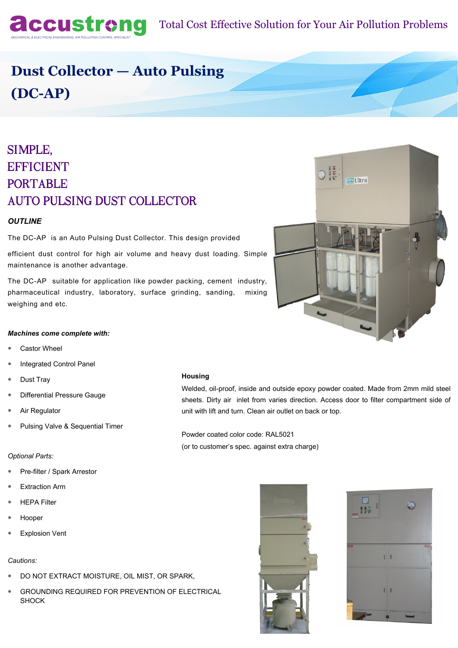

# **Dust Collector — Auto Pulsing (DC-AP)**

# SIMPLE, **EFFICIENT PORTABLE AUTO PULSING DUST COLLECTOR**

### *OUTLINE*

The DC-AP is an Auto Pulsing Dust Collector. This design provided

efficient dust control for high air volume and heavy dust loading. Simple maintenance is another advantage.

The DC-AP suitable for application like powder packing, cement industry, pharmaceutical industry, laboratory, surface grinding, sanding, mixing weighing and etc.

### *Machines come complete with:*

- Castor Wheel
- Integrated Control Panel
- Dust Tray
- Differential Pressure Gauge
- Air Regulator
- Pulsing Valve & Sequential Timer

#### **Housing**

Welded, oil-proof, inside and outside epoxy powder coated. Made from 2mm mild steel sheets. Dirty air inlet from varies direction. Access door to filter compartment side of unit with lift and turn. Clean air outlet on back or top.

Powder coated color code: RAL5021 (or to customer's spec. against extra charge)

### *Optional Parts:*

- Pre-filter / Spark Arrestor
- Extraction Arm
- HEPA Filter
- Hooper
- Explosion Vent

#### *Cautions:*

- DO NOT EXTRACT MOISTURE, OIL MIST, OR SPARK,
- GROUNDING REQUIRED FOR PREVENTION OF ELECTRICAL SHOCK





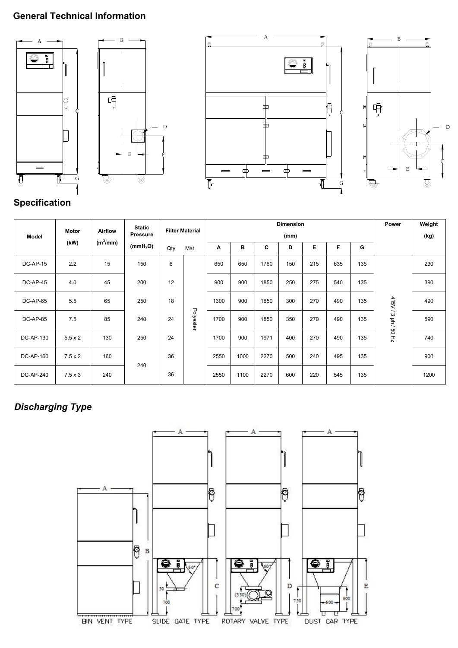# **General Technical Information**









# **Specification**

| Model            | Motor<br>(kW)  | <b>Airflow</b><br>(m <sup>3</sup> /min) | <b>Static</b><br>Pressure<br>(mmH <sub>2</sub> O) | <b>Filter Material</b> |           | <b>Dimension</b><br>(mm) |      |      |     |     |     | Power | Weight<br>(kg)      |      |
|------------------|----------------|-----------------------------------------|---------------------------------------------------|------------------------|-----------|--------------------------|------|------|-----|-----|-----|-------|---------------------|------|
|                  |                |                                         |                                                   | Qty                    | Mat       | Α                        | в    | C    | D   | Е   | F   | G     |                     |      |
| DC-AP-15         | 2.2            | 15                                      | 150                                               | 6                      |           | 650                      | 650  | 1760 | 150 | 215 | 635 | 135   |                     | 230  |
| DC-AP-45         | 4.0            | 45                                      | 200                                               | 12                     |           | 900                      | 900  | 1850 | 250 | 275 | 540 | 135   |                     | 390  |
| DC-AP-65         | 5.5            | 65                                      | 250                                               | 18                     |           | 1300                     | 900  | 1850 | 300 | 270 | 490 | 135   |                     | 490  |
| DC-AP-85         | 7.5            | 85                                      | 240                                               | 24                     | Polyester | 1700                     | 900  | 1850 | 350 | 270 | 490 | 135   | 415V / 3 ph / 50 Hz | 590  |
| <b>DC-AP-130</b> | $5.5 \times 2$ | 130                                     | 250                                               | 24                     |           | 1700                     | 900  | 1971 | 400 | 270 | 490 | 135   |                     | 740  |
| <b>DC-AP-160</b> | $7.5 \times 2$ | 160                                     |                                                   | 36                     |           | 2550                     | 1000 | 2270 | 500 | 240 | 495 | 135   |                     | 900  |
| <b>DC-AP-240</b> | $7.5 \times 3$ | 240                                     | 240                                               | 36                     |           | 2550                     | 1100 | 2270 | 600 | 220 | 545 | 135   |                     | 1200 |

# *Discharging Type*